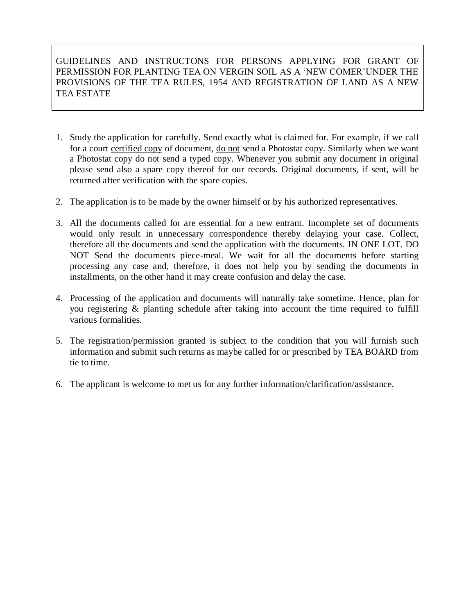## GUIDELINES AND INSTRUCTONS FOR PERSONS APPLYING FOR GRANT OF PERMISSION FOR PLANTING TEA ON VERGIN SOIL AS A 'NEW COMER'UNDER THE PROVISIONS OF THE TEA RULES, 1954 AND REGISTRATION OF LAND AS A NEW TEA ESTATE

- 1. Study the application for carefully. Send exactly what is claimed for. For example, if we call for a court certified copy of document, do not send a Photostat copy. Similarly when we want a Photostat copy do not send a typed copy. Whenever you submit any document in original please send also a spare copy thereof for our records. Original documents, if sent, will be returned after verification with the spare copies.
- 2. The application is to be made by the owner himself or by his authorized representatives.
- 3. All the documents called for are essential for a new entrant. Incomplete set of documents would only result in unnecessary correspondence thereby delaying your case. Collect, therefore all the documents and send the application with the documents. IN ONE LOT. DO NOT Send the documents piece-meal. We wait for all the documents before starting processing any case and, therefore, it does not help you by sending the documents in installments, on the other hand it may create confusion and delay the case.
- 4. Processing of the application and documents will naturally take sometime. Hence, plan for you registering & planting schedule after taking into account the time required to fulfill various formalities.
- 5. The registration/permission granted is subject to the condition that you will furnish such information and submit such returns as maybe called for or prescribed by TEA BOARD from tie to time.
- 6. The applicant is welcome to met us for any further information/clarification/assistance.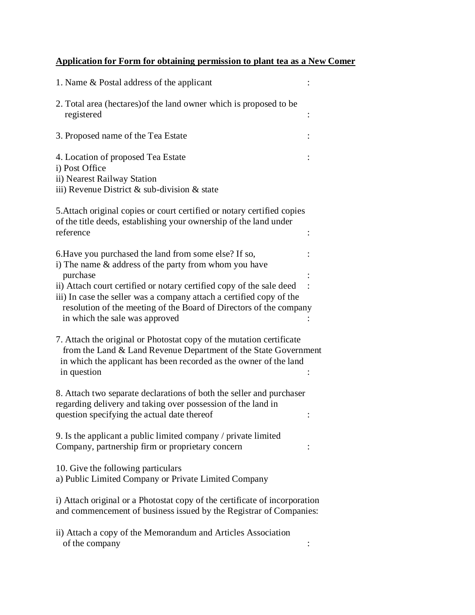## **Application for Form for obtaining permission to plant tea as a New Comer**

| 1. Name & Postal address of the applicant                                                                                                                                                                                   |  |
|-----------------------------------------------------------------------------------------------------------------------------------------------------------------------------------------------------------------------------|--|
| 2. Total area (hectares) of the land owner which is proposed to be<br>registered                                                                                                                                            |  |
| 3. Proposed name of the Tea Estate                                                                                                                                                                                          |  |
| 4. Location of proposed Tea Estate<br>i) Post Office<br>ii) Nearest Railway Station<br>iii) Revenue District $\&$ sub-division $\&$ state                                                                                   |  |
| 5. Attach original copies or court certified or notary certified copies<br>of the title deeds, establishing your ownership of the land under<br>reference                                                                   |  |
| 6. Have you purchased the land from some else? If so,<br>i) The name & address of the party from whom you have<br>purchase<br>ii) Attach court certified or notary certified copy of the sale deed                          |  |
| iii) In case the seller was a company attach a certified copy of the<br>resolution of the meeting of the Board of Directors of the company<br>in which the sale was approved                                                |  |
| 7. Attach the original or Photostat copy of the mutation certificate<br>from the Land & Land Revenue Department of the State Government<br>in which the applicant has been recorded as the owner of the land<br>in question |  |
| 8. Attach two separate declarations of both the seller and purchaser<br>regarding delivery and taking over possession of the land in<br>question specifying the actual date thereof                                         |  |
| 9. Is the applicant a public limited company / private limited<br>Company, partnership firm or proprietary concern                                                                                                          |  |
| 10. Give the following particulars<br>a) Public Limited Company or Private Limited Company                                                                                                                                  |  |
| i) Attach original or a Photostat copy of the certificate of incorporation<br>and commencement of business issued by the Registrar of Companies:                                                                            |  |
| ii) Attach a copy of the Memorandum and Articles Association<br>of the company                                                                                                                                              |  |